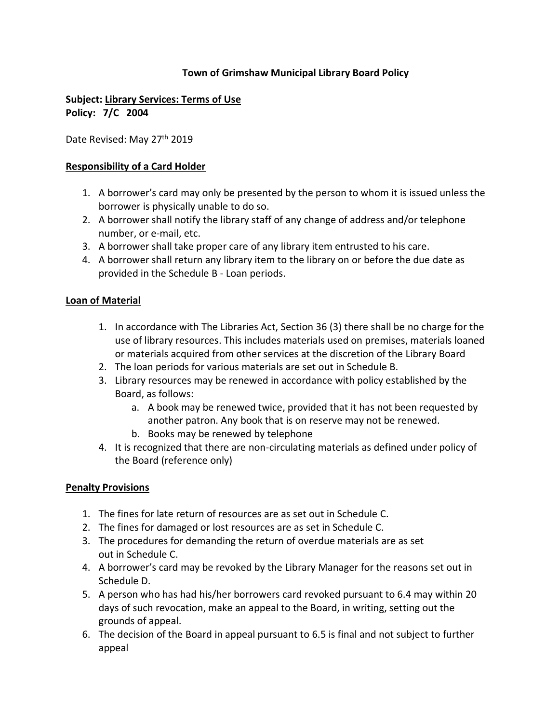## **Town of Grimshaw Municipal Library Board Policy**

## **Subject: Library Services: Terms of Use Policy: 7/C 2004**

Date Revised: May 27<sup>th</sup> 2019

### **Responsibility of a Card Holder**

- 1. A borrower's card may only be presented by the person to whom it is issued unless the borrower is physically unable to do so.
- 2. A borrower shall notify the library staff of any change of address and/or telephone number, or e-mail, etc.
- 3. A borrower shall take proper care of any library item entrusted to his care.
- 4. A borrower shall return any library item to the library on or before the due date as provided in the Schedule B - Loan periods.

#### **Loan of Material**

- 1. In accordance with The Libraries Act, Section 36 (3) there shall be no charge for the use of library resources. This includes materials used on premises, materials loaned or materials acquired from other services at the discretion of the Library Board
- 2. The loan periods for various materials are set out in Schedule B.
- 3. Library resources may be renewed in accordance with policy established by the Board, as follows:
	- a. A book may be renewed twice, provided that it has not been requested by another patron. Any book that is on reserve may not be renewed.
	- b. Books may be renewed by telephone
- 4. It is recognized that there are non-circulating materials as defined under policy of the Board (reference only)

### **Penalty Provisions**

- 1. The fines for late return of resources are as set out in Schedule C.
- 2. The fines for damaged or lost resources are as set in Schedule C.
- 3. The procedures for demanding the return of overdue materials are as set out in Schedule C.
- 4. A borrower's card may be revoked by the Library Manager for the reasons set out in Schedule D.
- 5. A person who has had his/her borrowers card revoked pursuant to 6.4 may within 20 days of such revocation, make an appeal to the Board, in writing, setting out the grounds of appeal.
- 6. The decision of the Board in appeal pursuant to 6.5 is final and not subject to further appeal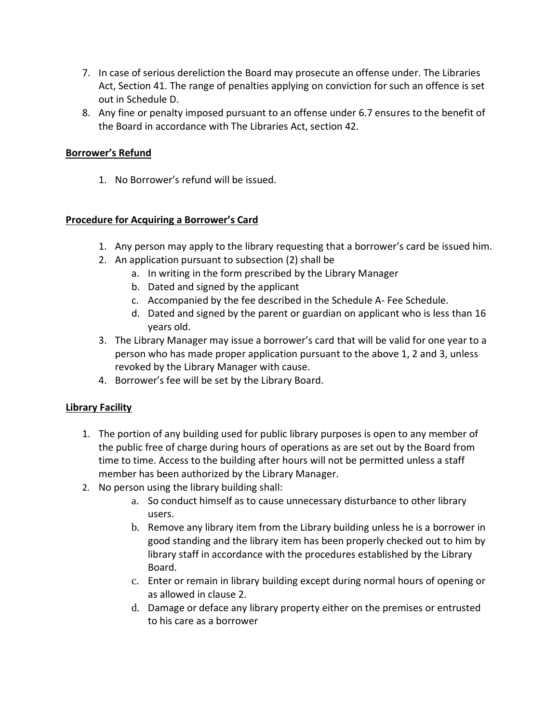- 7. In case of serious dereliction the Board may prosecute an offense under. The Libraries Act, Section 41. The range of penalties applying on conviction for such an offence is set out in Schedule D.
- 8. Any fine or penalty imposed pursuant to an offense under 6.7 ensures to the benefit of the Board in accordance with The Libraries Act, section 42.

## **Borrower's Refund**

1. No Borrower's refund will be issued.

# **Procedure for Acquiring a Borrower's Card**

- 1. Any person may apply to the library requesting that a borrower's card be issued him.
- 2. An application pursuant to subsection (2) shall be
	- a. In writing in the form prescribed by the Library Manager
	- b. Dated and signed by the applicant
	- c. Accompanied by the fee described in the Schedule A- Fee Schedule.
	- d. Dated and signed by the parent or guardian on applicant who is less than 16 years old.
- 3. The Library Manager may issue a borrower's card that will be valid for one year to a person who has made proper application pursuant to the above 1, 2 and 3, unless revoked by the Library Manager with cause.
- 4. Borrower's fee will be set by the Library Board.

## **Library Facility**

- 1. The portion of any building used for public library purposes is open to any member of the public free of charge during hours of operations as are set out by the Board from time to time. Access to the building after hours will not be permitted unless a staff member has been authorized by the Library Manager.
- 2. No person using the library building shall:
	- a. So conduct himself as to cause unnecessary disturbance to other library users.
	- b. Remove any library item from the Library building unless he is a borrower in good standing and the library item has been properly checked out to him by library staff in accordance with the procedures established by the Library Board.
	- c. Enter or remain in library building except during normal hours of opening or as allowed in clause 2.
	- d. Damage or deface any library property either on the premises or entrusted to his care as a borrower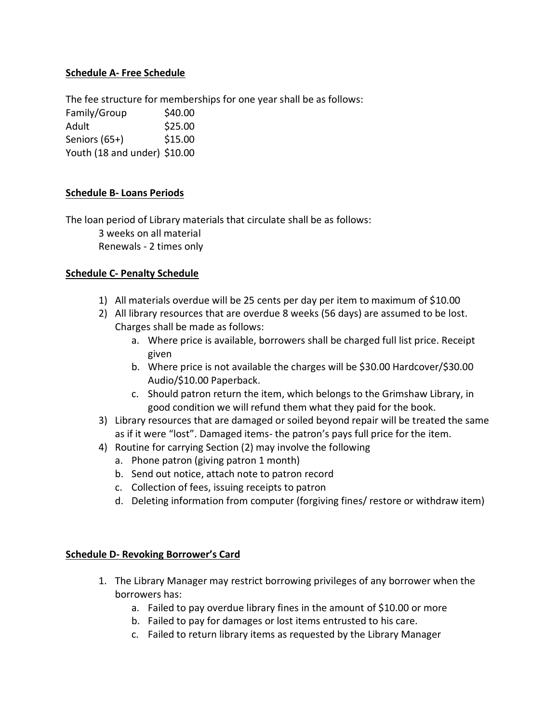## **Schedule A- Free Schedule**

The fee structure for memberships for one year shall be as follows: Family/Group \$40.00 Adult \$25.00 Seniors (65+) \$15.00 Youth (18 and under) \$10.00

### **Schedule B- Loans Periods**

The loan period of Library materials that circulate shall be as follows: 3 weeks on all material Renewals - 2 times only

### **Schedule C- Penalty Schedule**

- 1) All materials overdue will be 25 cents per day per item to maximum of \$10.00
- 2) All library resources that are overdue 8 weeks (56 days) are assumed to be lost. Charges shall be made as follows:
	- a. Where price is available, borrowers shall be charged full list price. Receipt given
	- b. Where price is not available the charges will be \$30.00 Hardcover/\$30.00 Audio/\$10.00 Paperback.
	- c. Should patron return the item, which belongs to the Grimshaw Library, in good condition we will refund them what they paid for the book.
- 3) Library resources that are damaged or soiled beyond repair will be treated the same as if it were "lost". Damaged items- the patron's pays full price for the item.
- 4) Routine for carrying Section (2) may involve the following
	- a. Phone patron (giving patron 1 month)
	- b. Send out notice, attach note to patron record
	- c. Collection of fees, issuing receipts to patron
	- d. Deleting information from computer (forgiving fines/ restore or withdraw item)

### **Schedule D- Revoking Borrower's Card**

- 1. The Library Manager may restrict borrowing privileges of any borrower when the borrowers has:
	- a. Failed to pay overdue library fines in the amount of \$10.00 or more
	- b. Failed to pay for damages or lost items entrusted to his care.
	- c. Failed to return library items as requested by the Library Manager